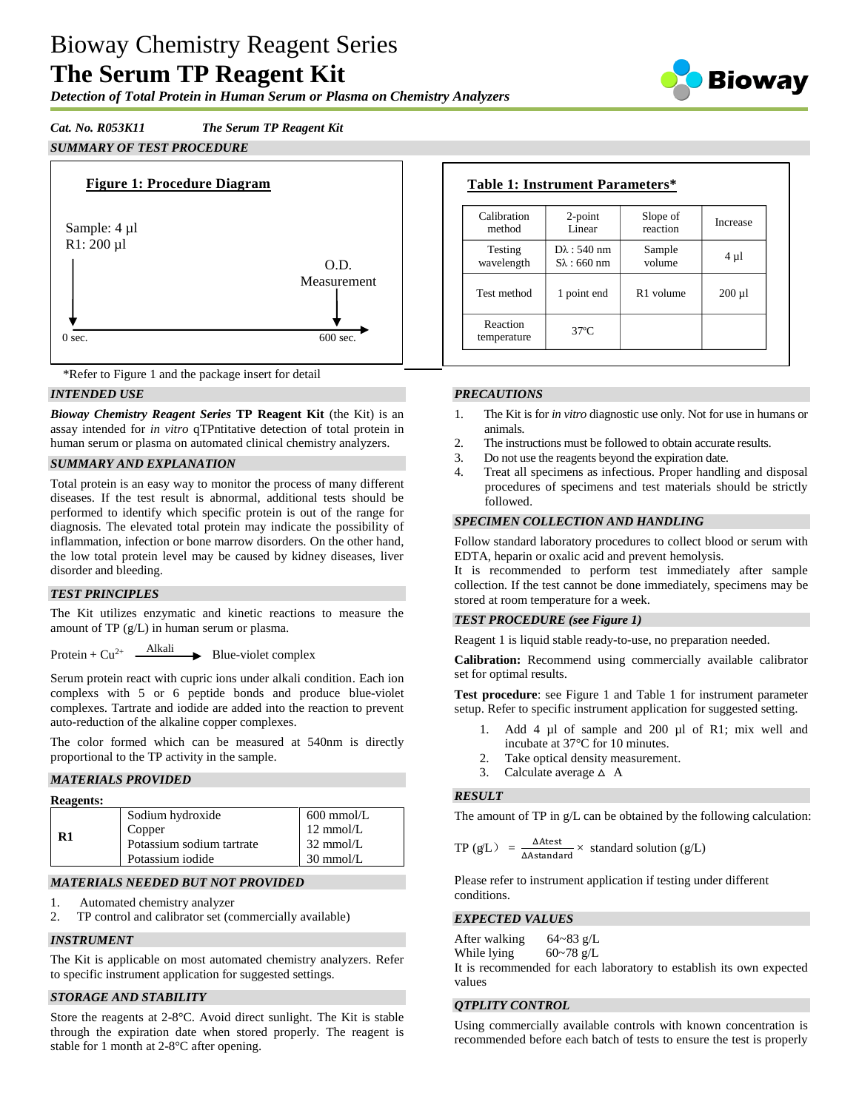# Bioway Chemistry Reagent Series **The Serum TP Reagent Kit**

Biowav

# *Detection of Total Protein in Human Serum or Plasma on Chemistry Analyzers*

# *Cat. No. R053K11 The Serum TP Reagent Kit*

# *SUMMARY OF TEST PROCEDURE*





# *INTENDED USE*

*Bioway Chemistry Reagent Series* **TP Reagent Kit** (the Kit) is an assay intended for *in vitro* qTPntitative detection of total protein in human serum or plasma on automated clinical chemistry analyzers.

# *SUMMARY AND EXPLANATION*

Total protein is an easy way to monitor the process of many different diseases. If the test result is abnormal, additional tests should be performed to identify which specific protein is out of the range for diagnosis. The elevated total protein may indicate the possibility of inflammation, infection or bone marrow disorders. On the other hand, the low total protein level may be caused by kidney diseases, liver disorder and bleeding.

#### *TEST PRINCIPLES*

The Kit utilizes enzymatic and kinetic reactions to measure the amount of TP (g/L) in human serum or plasma.

Protein +  $Cu^{2+}$   $\longrightarrow$  Blue-violet complex

Serum protein react with cupric ions under alkali condition. Each ion complexs with 5 or 6 peptide bonds and produce blue-violet complexes. Tartrate and iodide are added into the reaction to prevent auto-reduction of the alkaline copper complexes.

The color formed which can be measured at 540nm is directly proportional to the TP activity in the sample.

#### *MATERIALS PROVIDED*

| <b>Reagents:</b> |                           |                     |
|------------------|---------------------------|---------------------|
|                  | Sodium hydroxide          | $600$ mmol/L        |
| R1               | Copper                    | $12 \text{ mmol/L}$ |
|                  | Potassium sodium tartrate | $32 \text{ mmol/L}$ |
|                  | Potassium iodide          | $30 \text{ mmol/L}$ |

# *MATERIALS NEEDED BUT NOT PROVIDED*

- 1. Automated chemistry analyzer
- 2. TP control and calibrator set (commercially available)

#### *INSTRUMENT*

The Kit is applicable on most automated chemistry analyzers. Refer to specific instrument application for suggested settings.

# *STORAGE AND STABILITY*

Store the reagents at 2-8°C. Avoid direct sunlight. The Kit is stable through the expiration date when stored properly. The reagent is stable for 1 month at 2-8°C after opening.

| Calibration             | $2$ -point             | Slope of              | Increase    |
|-------------------------|------------------------|-----------------------|-------------|
| method                  | Linear                 | reaction              |             |
| Testing                 | $D\lambda$ : 540 nm    | Sample                | $4 \mu l$   |
| wavelength              | $S_{\lambda}$ : 660 nm | volume                |             |
| Test method             | 1 point end            | R <sub>1</sub> volume | $200 \mu l$ |
| Reaction<br>temperature | $37^\circ$ C           |                       |             |

### *PRECAUTIONS*

- 1. The Kit is for *in vitro* diagnostic use only. Not for use in humans or animals.
- 2. The instructions must be followed to obtain accurate results.
- 3. Do not use the reagents beyond the expiration date.
- 4. Treat all specimens as infectious. Proper handling and disposal procedures of specimens and test materials should be strictly followed.

#### *SPECIMEN COLLECTION AND HANDLING*

Follow standard laboratory procedures to collect blood or serum with EDTA, heparin or oxalic acid and prevent hemolysis.

It is recommended to perform test immediately after sample collection. If the test cannot be done immediately, specimens may be stored at room temperature for a week.

# *TEST PROCEDURE (see Figure 1)*

Reagent 1 is liquid stable ready-to-use, no preparation needed.

**Calibration:** Recommend using commercially available calibrator set for optimal results.

**Test procedure**: see Figure 1 and Table 1 for instrument parameter setup. Refer to specific instrument application for suggested setting.

- 1. Add 4 µl of sample and 200 µl of R1; mix well and incubate at 37°C for 10 minutes.
- 2. Take optical density measurement.
- 3. Calculate average  $\triangle A$

# *RESULT*

The amount of TP in g/L can be obtained by the following calculation:

$$
TP(gL) = \frac{\Delta A \text{test}}{\Delta A \text{standard}} \times \text{ standard solution (g/L)}
$$

Please refer to instrument application if testing under different conditions.

#### *EXPECTED VALUES*

After walking  $64~-83$  g/L While lying  $60~-78$  g/L It is recommended for each laboratory to establish its own expected values

#### *QTPLITY CONTROL*

Using commercially available controls with known concentration is recommended before each batch of tests to ensure the test is properly